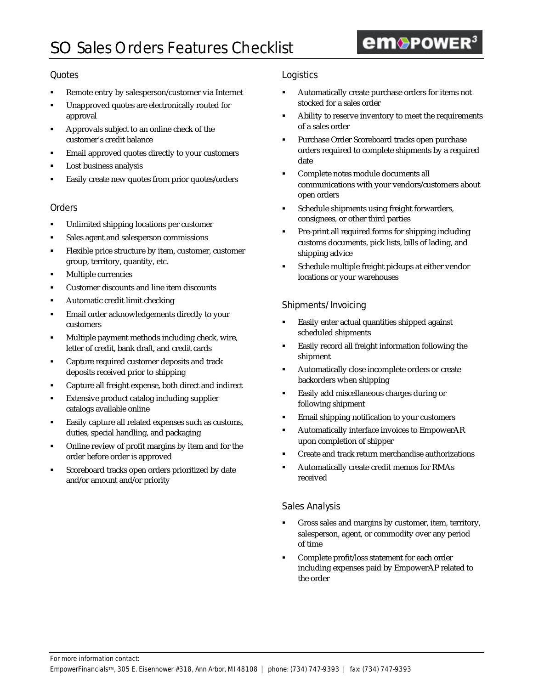# **em**®POWER<sup>3</sup>

### **Quotes**

- ß Remote entry by salesperson/customer via Internet
- ß Unapproved quotes are electronically routed for approval
- ß Approvals subject to an online check of the customer's credit balance
- **Email approved quotes directly to your customers**
- ß Lost business analysis
- ß Easily create new quotes from prior quotes/orders

#### **Orders**

- ß Unlimited shipping locations per customer
- ß Sales agent and salesperson commissions
- ß Flexible price structure by item, customer, customer group, territory, quantity, etc.
- ß Multiple currencies
- ß Customer discounts and line item discounts
- **•** Automatic credit limit checking
- **Email order acknowledgements directly to your** customers
- ß Multiple payment methods including check, wire, letter of credit, bank draft, and credit cards
- ß Capture required customer deposits and track deposits received prior to shipping
- ß Capture all freight expense, both direct and indirect
- **Extensive product catalog including supplier** catalogs available online
- ß Easily capture all related expenses such as customs, duties, special handling, and packaging
- ß Online review of profit margins by item and for the order before order is approved
- ß Scoreboard tracks open orders prioritized by date and/or amount and/or priority

## Logistics

- ß Automatically create purchase orders for items not stocked for a sales order
- Ability to reserve inventory to meet the requirements of a sales order
- ß Purchase Order Scoreboard tracks open purchase orders required to complete shipments by a required date
- ß Complete notes module documents all communications with your vendors/customers about open orders
- **Schedule shipments using freight forwarders,** consignees, or other third parties
- ß Pre-print all required forms for shipping including customs documents, pick lists, bills of lading, and shipping advice
- ß Schedule multiple freight pickups at either vendor locations or your warehouses

## Shipments/Invoicing

- ß Easily enter actual quantities shipped against scheduled shipments
- ß Easily record all freight information following the shipment
- ß Automatically close incomplete orders or create backorders when shipping
- ß Easily add miscellaneous charges during or following shipment
- ß Email shipping notification to your customers
- ß Automatically interface invoices to EmpowerAR upon completion of shipper
- ß Create and track return merchandise authorizations
- ß Automatically create credit memos for RMAs received

#### Sales Analysis

- ß Gross sales and margins by customer, item, territory, salesperson, agent, or commodity over any period of time
- ß Complete profit/loss statement for each order including expenses paid by EmpowerAP related to the order